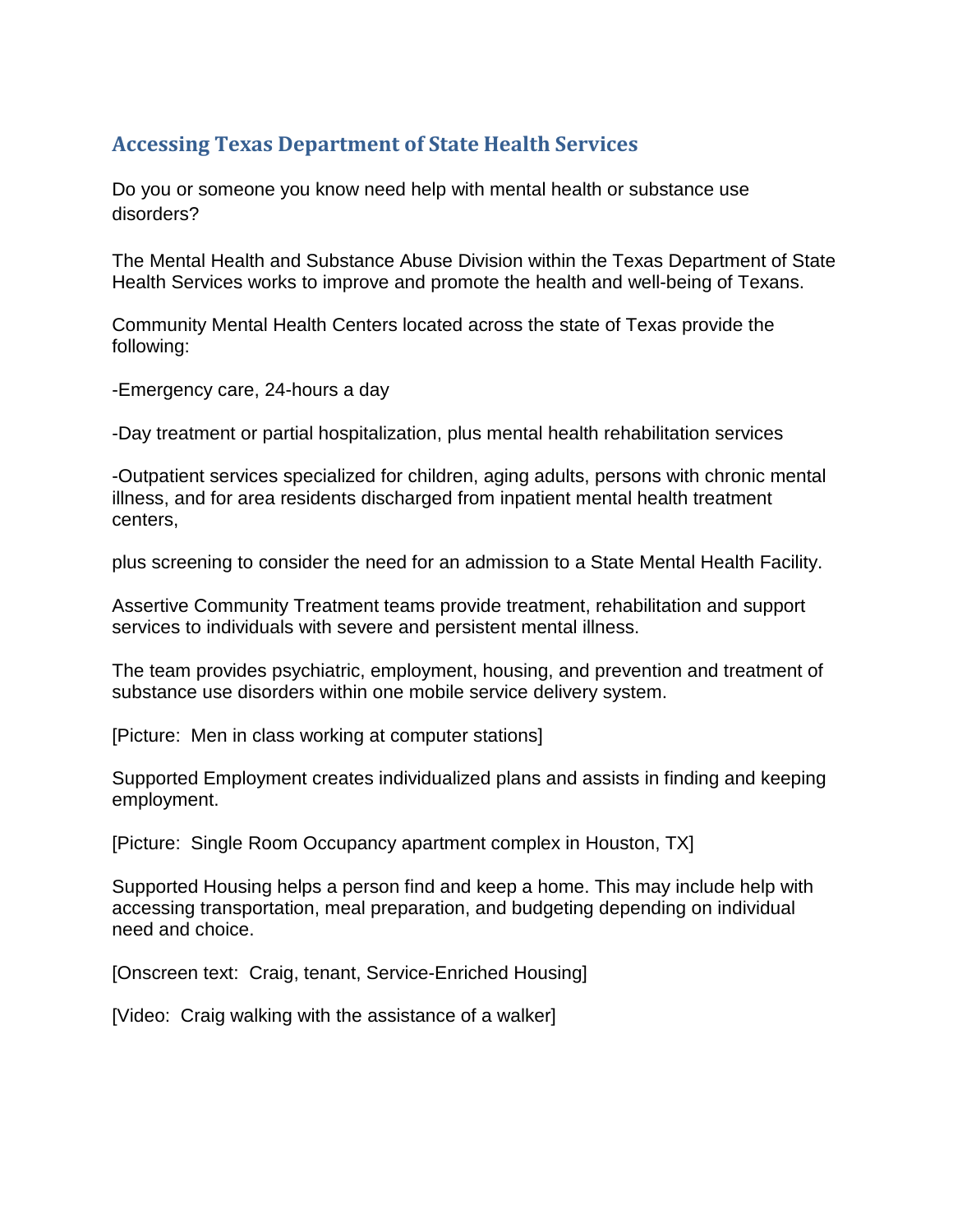## **Accessing Texas Department of State Health Services**

Do you or someone you know need help with mental health or substance use disorders?

The Mental Health and Substance Abuse Division within the Texas Department of State Health Services works to improve and promote the health and well-being of Texans.

Community Mental Health Centers located across the state of Texas provide the following:

-Emergency care, 24-hours a day

-Day treatment or partial hospitalization, plus mental health rehabilitation services

-Outpatient services specialized for children, aging adults, persons with chronic mental illness, and for area residents discharged from inpatient mental health treatment centers,

plus screening to consider the need for an admission to a State Mental Health Facility.

Assertive Community Treatment teams provide treatment, rehabilitation and support services to individuals with severe and persistent mental illness.

The team provides psychiatric, employment, housing, and prevention and treatment of substance use disorders within one mobile service delivery system.

[Picture: Men in class working at computer stations]

Supported Employment creates individualized plans and assists in finding and keeping employment.

[Picture: Single Room Occupancy apartment complex in Houston, TX]

Supported Housing helps a person find and keep a home. This may include help with accessing transportation, meal preparation, and budgeting depending on individual need and choice.

[Onscreen text: Craig, tenant, Service-Enriched Housing]

[Video: Craig walking with the assistance of a walker]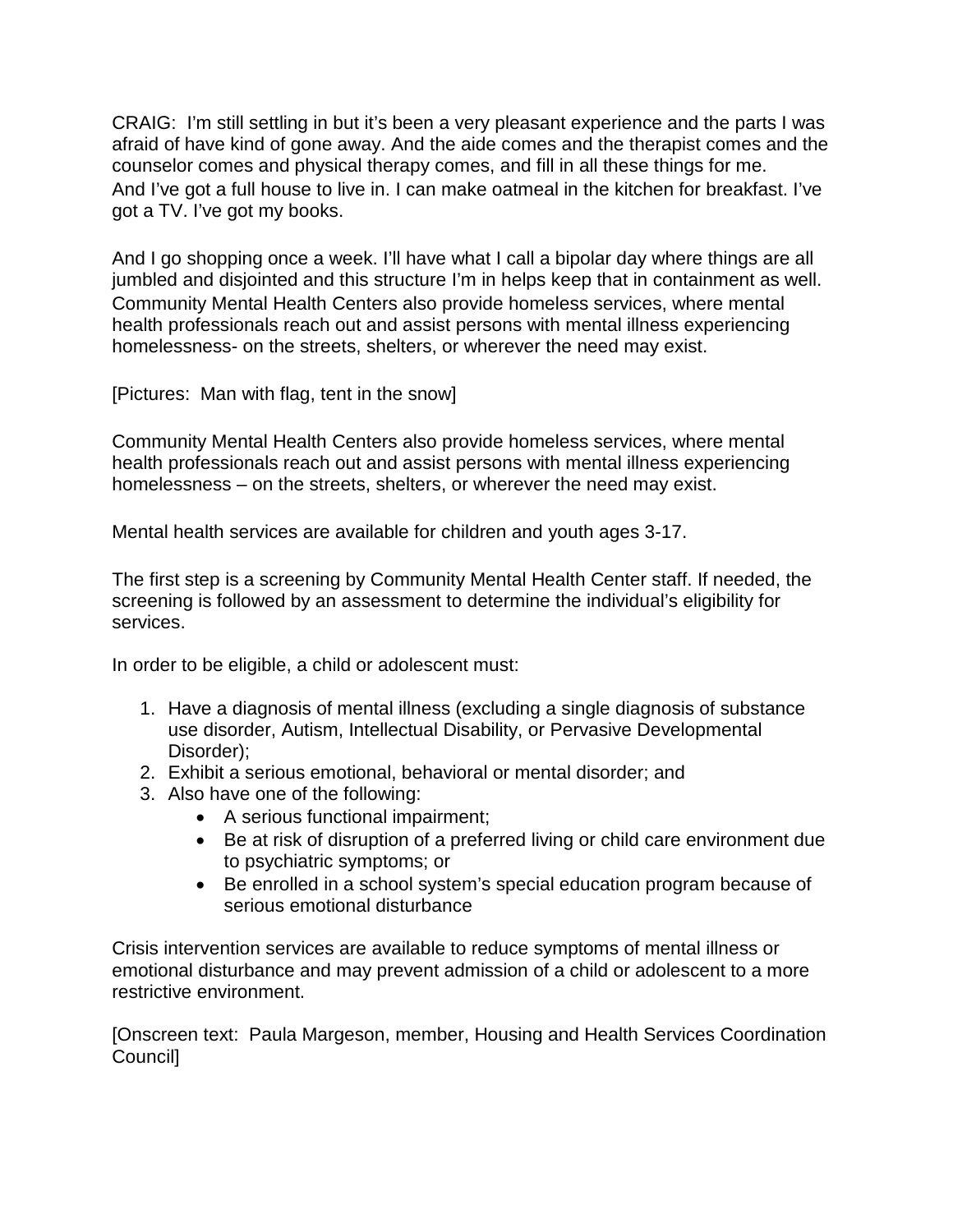CRAIG: I'm still settling in but it's been a very pleasant experience and the parts I was afraid of have kind of gone away. And the aide comes and the therapist comes and the counselor comes and physical therapy comes, and fill in all these things for me. And I've got a full house to live in. I can make oatmeal in the kitchen for breakfast. I've got a TV. I've got my books.

And I go shopping once a week. I'll have what I call a bipolar day where things are all jumbled and disjointed and this structure I'm in helps keep that in containment as well. Community Mental Health Centers also provide homeless services, where mental health professionals reach out and assist persons with mental illness experiencing homelessness- on the streets, shelters, or wherever the need may exist.

[Pictures: Man with flag, tent in the snow]

Community Mental Health Centers also provide homeless services, where mental health professionals reach out and assist persons with mental illness experiencing homelessness – on the streets, shelters, or wherever the need may exist.

Mental health services are available for children and youth ages 3-17.

The first step is a screening by Community Mental Health Center staff. If needed, the screening is followed by an assessment to determine the individual's eligibility for services.

In order to be eligible, a child or adolescent must:

- 1. Have a diagnosis of mental illness (excluding a single diagnosis of substance use disorder, Autism, Intellectual Disability, or Pervasive Developmental Disorder);
- 2. Exhibit a serious emotional, behavioral or mental disorder; and
- 3. Also have one of the following:
	- A serious functional impairment;
	- Be at risk of disruption of a preferred living or child care environment due to psychiatric symptoms; or
	- Be enrolled in a school system's special education program because of serious emotional disturbance

Crisis intervention services are available to reduce symptoms of mental illness or emotional disturbance and may prevent admission of a child or adolescent to a more restrictive environment.

[Onscreen text: Paula Margeson, member, Housing and Health Services Coordination Council]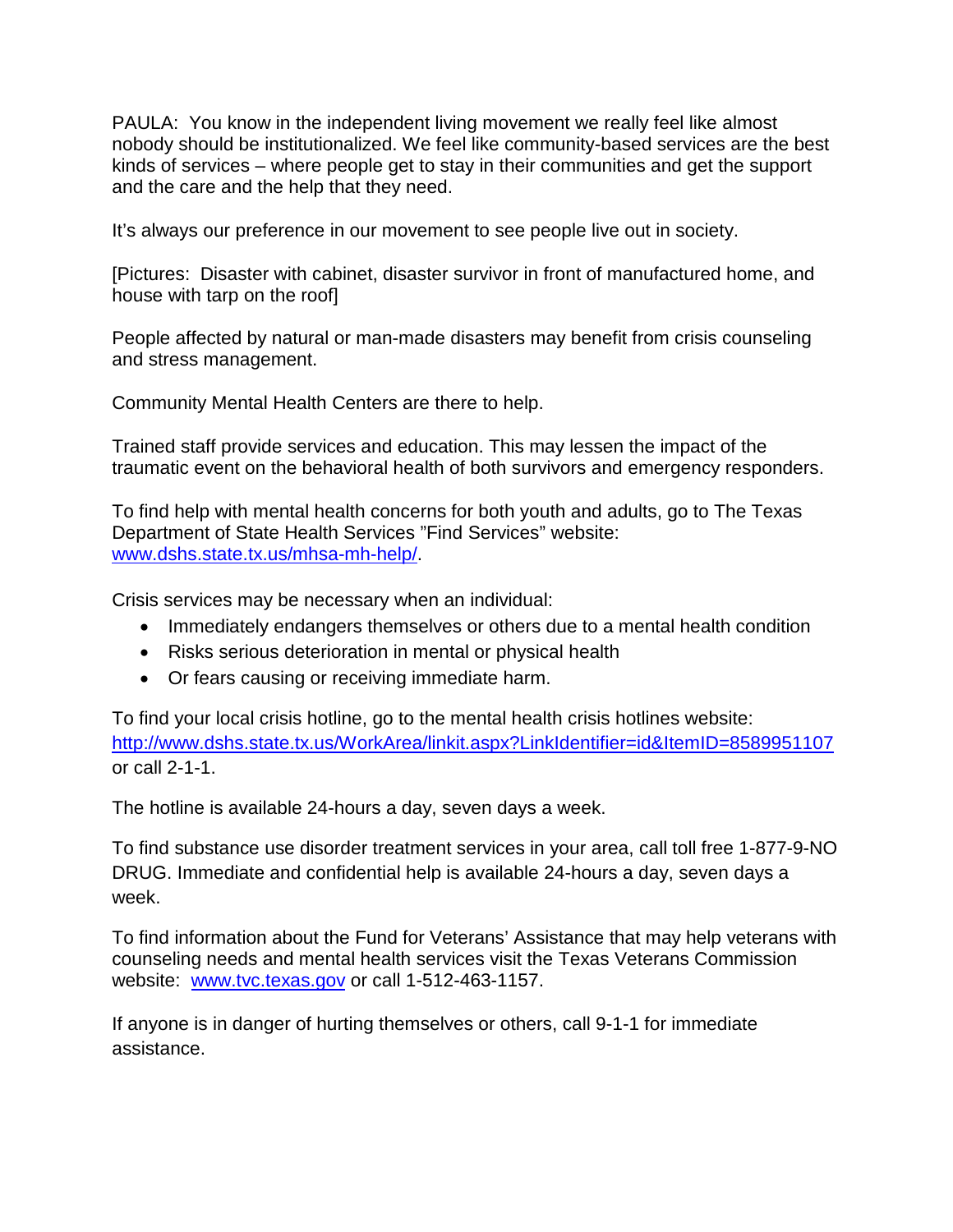PAULA: You know in the independent living movement we really feel like almost nobody should be institutionalized. We feel like community-based services are the best kinds of services – where people get to stay in their communities and get the support and the care and the help that they need.

It's always our preference in our movement to see people live out in society.

[Pictures: Disaster with cabinet, disaster survivor in front of manufactured home, and house with tarp on the roof]

People affected by natural or man-made disasters may benefit from crisis counseling and stress management.

Community Mental Health Centers are there to help.

Trained staff provide services and education. This may lessen the impact of the traumatic event on the behavioral health of both survivors and emergency responders.

To find help with mental health concerns for both youth and adults, go to The Texas Department of State Health Services "Find Services" website: [www.dshs.state.tx.us/mhsa-mh-help/.](http://www.dshs.state.tx.us/mhsa-mh-help/)

Crisis services may be necessary when an individual:

- Immediately endangers themselves or others due to a mental health condition
- Risks serious deterioration in mental or physical health
- Or fears causing or receiving immediate harm.

To find your local crisis hotline, go to the mental health crisis hotlines website: <http://www.dshs.state.tx.us/WorkArea/linkit.aspx?LinkIdentifier=id&ItemID=8589951107> or call 2-1-1.

The hotline is available 24-hours a day, seven days a week.

To find substance use disorder treatment services in your area, call toll free 1-877-9-NO DRUG. Immediate and confidential help is available 24-hours a day, seven days a week.

To find information about the Fund for Veterans' Assistance that may help veterans with counseling needs and mental health services visit the Texas Veterans Commission website: [www.tvc.texas.gov](http://www.tvc.texas.gov/) or call 1-512-463-1157.

If anyone is in danger of hurting themselves or others, call 9-1-1 for immediate assistance.